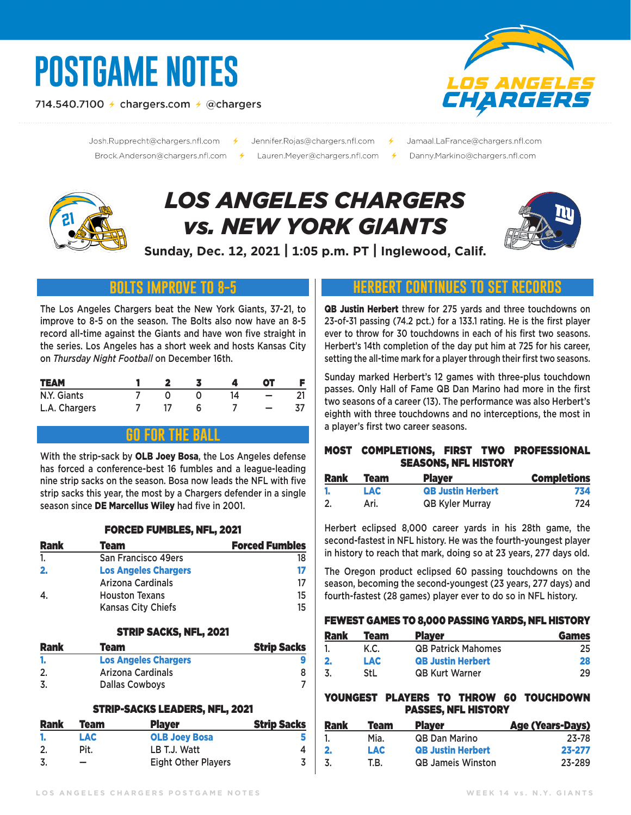# **POSTGAME NOTES**

714.540.7100  $\neq$  chargers.com  $\neq$  @chargers



Josh.Rupprecht@chargers.nfl.com 

- Jennifer.Rojas@chargers.nfl.com 
<del>/</del>
	- Jamaal.LaFrance@chargers.nfl.com
	- Danny.Markino@chargers.nfl.com

# *LOS ANGELES CHARGERS vs. NEW YORK GIANTS*



**Sunday, Dec. 12, 2021 | 1:05 p.m. PT | Inglewood, Calif.**

# **bolts improve to 8-5**

The Los Angeles Chargers beat the New York Giants, 37-21, to improve to 8-5 on the season. The Bolts also now have an 8-5 record all-time against the Giants and have won five straight in the series. Los Angeles has a short week and hosts Kansas City on *Thursday Night Football* on December 16th.

| <b>TEAM</b>   |  |  | OТ |  |
|---------------|--|--|----|--|
| N.Y. Giants   |  |  |    |  |
| L.A. Chargers |  |  |    |  |

### **go for the ball**

With the strip-sack by OLB Joev Bosa, the Los Angeles defense has forced a conference-best 16 fumbles and a league-leading nine strip sacks on the season. Bosa now leads the NFL with five strip sacks this year, the most by a Chargers defender in a single season since DE Marcellus Wiley had five in 2001.

#### FORCED FUMBLES, NFL, 2021

| <b>Rank</b> | Team                        | <b>Forced Fumbles</b> |
|-------------|-----------------------------|-----------------------|
|             | <b>San Francisco 49ers</b>  | 18                    |
| 2.          | <b>Los Angeles Chargers</b> | 17                    |
|             | <b>Arizona Cardinals</b>    | 17                    |
| 4.          | <b>Houston Texans</b>       | 15                    |
|             | <b>Kansas City Chiefs</b>   | 15                    |

#### STRIP SACKS, NFL, 2021

| <b>Rank</b> | Team                        | <b>Strip Sacks</b> |
|-------------|-----------------------------|--------------------|
|             | <b>Los Angeles Chargers</b> |                    |
|             | Arizona Cardinals           |                    |
|             | <b>Dallas Cowboys</b>       |                    |

#### STRIP-SACKS LEADERS, NFL, 2021

| <b>Rank</b> | Team | <b>Player</b>              | <b>Strip Sacks</b> |
|-------------|------|----------------------------|--------------------|
|             | LAC. | <b>OLB Joey Bosa</b>       |                    |
|             | Pit. | LB T.J. Watt               |                    |
|             | -    | <b>Eight Other Players</b> |                    |

## **HERBERT CONTINUES TO SET**

QB Justin Herbert threw for 275 yards and three touchdowns on 23-of-31 passing (74.2 pct.) for a 133.1 rating. He is the first player ever to throw for 30 touchdowns in each of his first two seasons. Herbert's 14th completion of the day put him at 725 for his career, setting the all-time mark for a player through their first two seasons.

Sunday marked Herbert's 12 games with three-plus touchdown passes. Only Hall of Fame QB Dan Marino had more in the first two seasons of a career (13). The performance was also Herbert's eighth with three touchdowns and no interceptions, the most in a player's first two career seasons.

#### MOST COMPLETIONS, FIRST TWO PROFESSIONAL SEASONS, NFL HISTORY

| Rank | <b>Team</b> | <b>Player</b>            | <b>Completions</b> |
|------|-------------|--------------------------|--------------------|
|      | LAC.        | <b>QB Justin Herbert</b> | 734                |
| 2.   | Ari.        | <b>QB Kyler Murray</b>   | 724                |

Herbert eclipsed 8,000 career yards in his 28th game, the second-fastest in NFL history. He was the fourth-youngest player in history to reach that mark, doing so at 23 years, 277 days old.

The Oregon product eclipsed 60 passing touchdowns on the season, becoming the second-youngest (23 years, 277 days) and fourth-fastest (28 games) player ever to do so in NFL history.

#### FEWEST GAMES TO 8,000 PASSING YARDS, NFL HISTORY

| <b>Rank</b> | <b>Team</b> | <b>Player</b>             | <b>Games</b> |
|-------------|-------------|---------------------------|--------------|
|             | K.C.        | <b>QB Patrick Mahomes</b> | 25           |
| 2.          | LAC         | <b>QB Justin Herbert</b>  | 28           |
| 3           | <b>StL</b>  | <b>QB Kurt Warner</b>     | 29           |

#### YOUNGEST PLAYERS TO THROW 60 TOUCHDOWN PASSES, NFL HISTORY

| <b>Rank</b>  | Team       | <b>Player</b>            | <b>Age (Years-Days)</b> |
|--------------|------------|--------------------------|-------------------------|
|              | Mia.       | <b>QB Dan Marino</b>     | 23-78                   |
| $\mathbf{2}$ | <b>LAC</b> | <b>QB Justin Herbert</b> | 23-277                  |
| 3.           | T.B.       | <b>QB Jameis Winston</b> | 23-289                  |